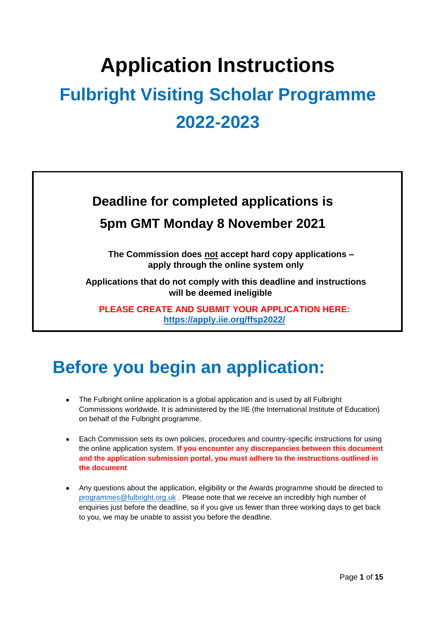# **Application Instructions**

# **Fulbright Visiting Scholar Programme 2022-2023**

## **Deadline for completed applications is 5pm GMT Monday 8 November 2021**

**The Commission does not accept hard copy applications – apply through the online system only**

**Applications that do not comply with this deadline and instructions will be deemed ineligible**

**PLEASE CREATE AND SUBMIT YOUR APPLICATION HERE: <https://apply.iie.org/ffsp2022/>**

## **Before you begin an application:**

- The Fulbright online application is a global application and is used by all Fulbright Commissions worldwide. It is administered by the IIE (the International Institute of Education) on behalf of the Fulbright programme.
- Each Commission sets its own policies, procedures and country-specific instructions for using the online application system. **If you encounter any discrepancies between this document and the application submission portal, you must adhere to the instructions outlined in the document**
- Any questions about the application, eligibility or the Awards programme should be directed to [programmes@fulbright.org.uk](mailto:programmes@fulbright.org.uk) . Please note that we receive an incredibly high number of enquiries just before the deadline, so if you give us fewer than three working days to get back to you, we may be unable to assist you before the deadline.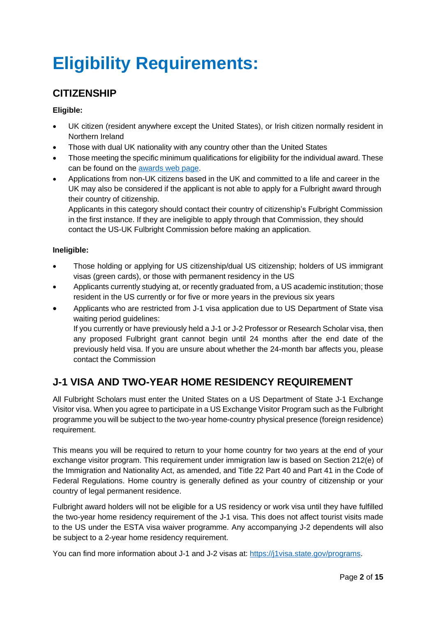## **Eligibility Requirements:**

## **CITIZENSHIP**

#### **Eligible:**

- UK citizen (resident anywhere except the United States), or Irish citizen normally resident in Northern Ireland
- Those with dual UK nationality with any country other than the United States
- Those meeting the specific minimum qualifications for eligibility for the individual award. These can be found on the [awards web page.](http://www.fulbright.org.uk/going-to-the-usa/academic-and-professional/fulbright-scholar-awards)
- Applications from non-UK citizens based in the UK and committed to a life and career in the UK may also be considered if the applicant is not able to apply for a Fulbright award through their country of citizenship.

Applicants in this category should contact their country of citizenship's Fulbright Commission in the first instance. If they are ineligible to apply through that Commission, they should contact the US-UK Fulbright Commission before making an application.

#### **Ineligible:**

- Those holding or applying for US citizenship/dual US citizenship; holders of US immigrant visas (green cards), or those with permanent residency in the US
- Applicants currently studying at, or recently graduated from, a US academic institution; those resident in the US currently or for five or more years in the previous six years
- Applicants who are restricted from J-1 visa application due to US Department of State visa waiting period guidelines: If you currently or have previously held a J-1 or J-2 Professor or Research Scholar visa, then any proposed Fulbright grant cannot begin until 24 months after the end date of the previously held visa. If you are unsure about whether the 24-month bar affects you, please contact the Commission

## **J-1 VISA AND TWO-YEAR HOME RESIDENCY REQUIREMENT**

All Fulbright Scholars must enter the United States on a US Department of State J-1 Exchange Visitor visa. When you agree to participate in a US Exchange Visitor Program such as the Fulbright programme you will be subject to the two-year home-country physical presence (foreign residence) requirement.

This means you will be required to return to your home country for two years at the end of your exchange visitor program. This requirement under immigration law is based on Section 212(e) of the Immigration and Nationality Act, as amended, and Title 22 Part 40 and Part 41 in the Code of Federal Regulations. Home country is generally defined as your country of citizenship or your country of legal permanent residence.

Fulbright award holders will not be eligible for a US residency or work visa until they have fulfilled the two-year home residency requirement of the J-1 visa. This does not affect tourist visits made to the US under the ESTA visa waiver programme. Any accompanying J-2 dependents will also be subject to a 2-year home residency requirement.

You can find more information about J-1 and J-2 visas at: [https://j1visa.state.gov/programs.](https://j1visa.state.gov/programs)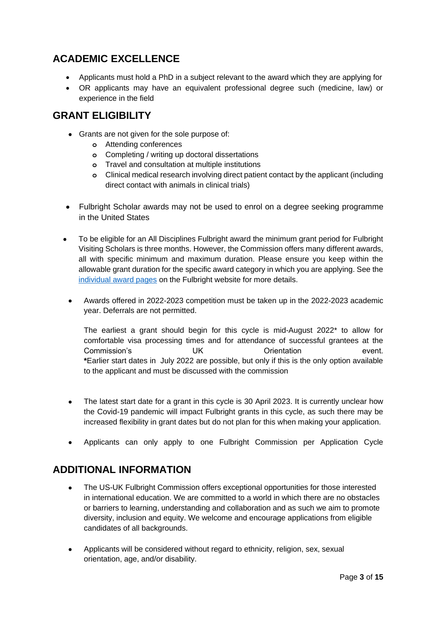## **ACADEMIC EXCELLENCE**

- Applicants must hold a PhD in a subject relevant to the award which they are applying for
- OR applicants may have an equivalent professional degree such (medicine, law) or experience in the field

### **GRANT ELIGIBILITY**

- Grants are not given for the sole purpose of:
	- **o** Attending conferences
	- **o** Completing / writing up doctoral dissertations
	- **o** Travel and consultation at multiple institutions
	- **o** Clinical medical research involving direct patient contact by the applicant (including direct contact with animals in clinical trials)
- Fulbright Scholar awards may not be used to enrol on a degree seeking programme in the United States
- To be eligible for an All Disciplines Fulbright award the minimum grant period for Fulbright Visiting Scholars is three months. However, the Commission offers many different awards, all with specific minimum and maximum duration. Please ensure you keep within the allowable grant duration for the specific award category in which you are applying. See the [individual award pages](http://www.fulbright.org.uk/going-to-the-usa/academic-and-professional/fulbright-scholar-awards/awards-available/smithsonian-institution?utm_source=mailinglist&utm_medium=email&utm_campaign=smithsonian&utm_term=smithsonian&utm_content=smithsonian) on the Fulbright website for more details.
	- Awards offered in 2022-2023 competition must be taken up in the 2022-2023 academic year. Deferrals are not permitted.

The earliest a grant should begin for this cycle is mid-August 2022\* to allow for comfortable visa processing times and for attendance of successful grantees at the Commission's Commission's UK Crientation event. **\***Earlier start dates in July 2022 are possible, but only if this is the only option available to the applicant and must be discussed with the commission

- The latest start date for a grant in this cycle is 30 April 2023. It is currently unclear how the Covid-19 pandemic will impact Fulbright grants in this cycle, as such there may be increased flexibility in grant dates but do not plan for this when making your application.
- Applicants can only apply to one Fulbright Commission per Application Cycle

### **ADDITIONAL INFORMATION**

- The US-UK Fulbright Commission offers exceptional opportunities for those interested in international education. We are committed to a world in which there are no obstacles or barriers to learning, understanding and collaboration and as such we aim to promote diversity, inclusion and equity. We welcome and encourage applications from eligible candidates of all backgrounds.
- Applicants will be considered without regard to ethnicity, religion, sex, sexual orientation, age, and/or disability.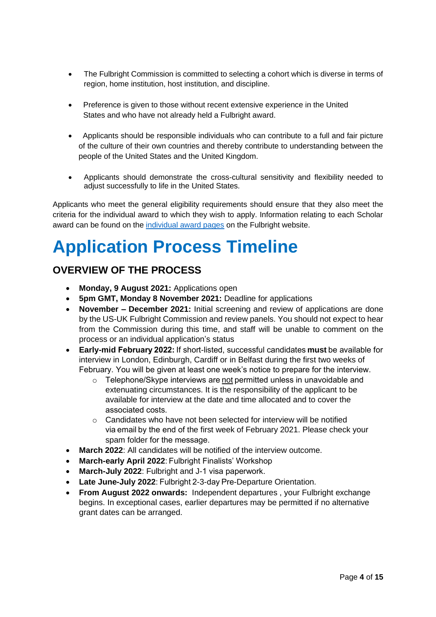- The Fulbright Commission is committed to selecting a cohort which is diverse in terms of region, home institution, host institution, and discipline.
- Preference is given to those without recent extensive experience in the United States and who have not already held a Fulbright award.
- Applicants should be responsible individuals who can contribute to a full and fair picture of the culture of their own countries and thereby contribute to understanding between the people of the United States and the United Kingdom.
- Applicants should demonstrate the cross-cultural sensitivity and flexibility needed to adjust successfully to life in the United States.

Applicants who meet the general eligibility requirements should ensure that they also meet the criteria for the individual award to which they wish to apply. Information relating to each Scholar award can be found on the [individual award pages](http://www.fulbright.org.uk/going-to-the-usa/academic-and-professional/fulbright-scholar-awards/awards-available/smithsonian-institution?utm_source=mailinglist&utm_medium=email&utm_campaign=smithsonian&utm_term=smithsonian&utm_content=smithsonian) on the Fulbright website.

## **Application Process Timeline**

## **OVERVIEW OF THE PROCESS**

- **Monday, 9 August 2021:** Applications open
- **5pm GMT, Monday 8 November 2021:** Deadline for applications
- **November – December 2021:** Initial screening and review of applications are done by the US-UK Fulbright Commission and review panels. You should not expect to hear from the Commission during this time, and staff will be unable to comment on the process or an individual application's status
- **Early-mid February 2022:** If short-listed, successful candidates **must** be available for interview in London, Edinburgh, Cardiff or in Belfast during the first two weeks of February. You will be given at least one week's notice to prepare for the interview.
	- o Telephone/Skype interviews are not permitted unless in unavoidable and extenuating circumstances. It is the responsibility of the applicant to be available for interview at the date and time allocated and to cover the associated costs.
	- $\circ$  Candidates who have not been selected for interview will be notified via email by the end of the first week of February 2021. Please check your spam folder for the message.
- **March 2022**: All candidates will be notified of the interview outcome.
- **March-early April 2022**: Fulbright Finalists' Workshop
- **March-July 2022**: Fulbright and J-1 visa paperwork.
- **Late June-July 2022**: Fulbright 2-3-day Pre-Departure Orientation.
- **From August 2022 onwards:** Independent departures , your Fulbright exchange begins. In exceptional cases, earlier departures may be permitted if no alternative grant dates can be arranged.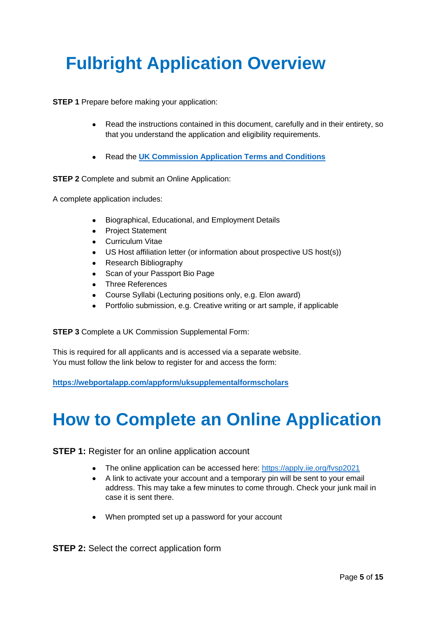## **Fulbright Application Overview**

**STEP 1** Prepare before making your application:

- Read the instructions contained in this document, carefully and in their entirety, so that you understand the application and eligibility requirements.
- Read the **[UK Commission Application Terms and](https://fulbrightcommission.sharepoint.com/:b:/g/awards/ukawards/EaKO0eiGN-hGj0SXfwdPK0AB10BvCmvjSKZ-5l2WhO1kNg?e=pG3pbc) Conditions**

**STEP 2** Complete and submit an Online Application:

A complete application includes:

- Biographical, Educational, and Employment Details
- Project Statement
- Curriculum Vitae
- US Host affiliation letter (or information about prospective US host(s))
- Research Bibliography
- Scan of your Passport Bio Page
- Three References
- Course Syllabi (Lecturing positions only, e.g. Elon award)
- Portfolio submission, e.g. Creative writing or art sample, if applicable

**STEP 3** Complete a UK Commission Supplemental Form:

This is required for all applicants and is accessed via a separate website. You must follow the link below to register for and access the form:

**<https://webportalapp.com/appform/uksupplementalformscholars>**

## **How to Complete an Online Application**

**STEP 1:** Register for an online application account

- The online application can be accessed here:<https://apply.iie.org/fvsp2021>
- A link to activate your account and a temporary pin will be sent to your email address. This may take a few minutes to come through. Check your junk mail in case it is sent there.
- When prompted set up a password for your account

**STEP 2:** Select the correct application form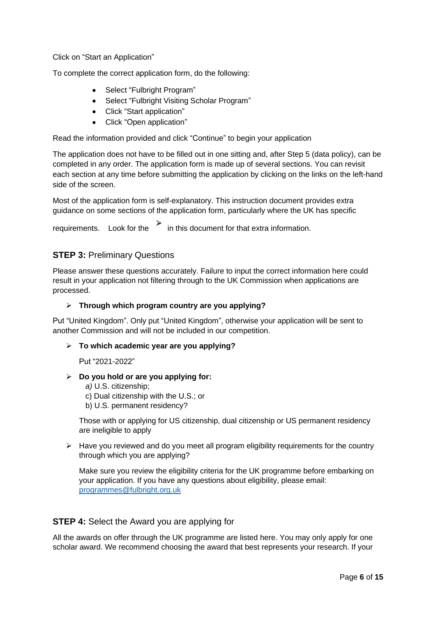Click on "Start an Application"

To complete the correct application form, do the following:

- Select "Fulbright Program"
- Select "Fulbright Visiting Scholar Program"
- Click "Start application"
- Click "Open application"

Read the information provided and click "Continue" to begin your application

The application does not have to be filled out in one sitting and, after Step 5 (data policy), can be completed in any order. The application form is made up of several sections. You can revisit each section at any time before submitting the application by clicking on the links on the left-hand side of the screen.

Most of the application form is self-explanatory. This instruction document provides extra guidance on some sections of the application form, particularly where the UK has specific

requirements. Look for the  $\overrightarrow{h}$  in this document for that extra information.

#### **STEP 3:** Preliminary Questions

Please answer these questions accurately. Failure to input the correct information here could result in your application not filtering through to the UK Commission when applications are processed.

#### ➢ **Through which program country are you applying?**

Put "United Kingdom". Only put "United Kingdom", otherwise your application will be sent to another Commission and will not be included in our competition.

#### ➢ **To which academic year are you applying?**

Put "2021-2022"

#### ➢ **Do you hold or are you applying for:**

*a)* U.S. citizenship; c) Dual citizenship with the U.S.; or

b) U.S. permanent residency?

Those with or applying for US citizenship, dual citizenship or US permanent residency are ineligible to apply

 $\triangleright$  Have you reviewed and do you meet all program eligibility requirements for the country through which you are applying?

Make sure you review the eligibility criteria for the UK programme before embarking on your application. If you have any questions about eligibility, please email: [programmes@fulbright.org.uk](mailto:programmes@fulbright.org.uk)

#### **STEP 4:** Select the Award you are applying for

All the awards on offer through the UK programme are listed here. You may only apply for one scholar award. We recommend choosing the award that best represents your research. If your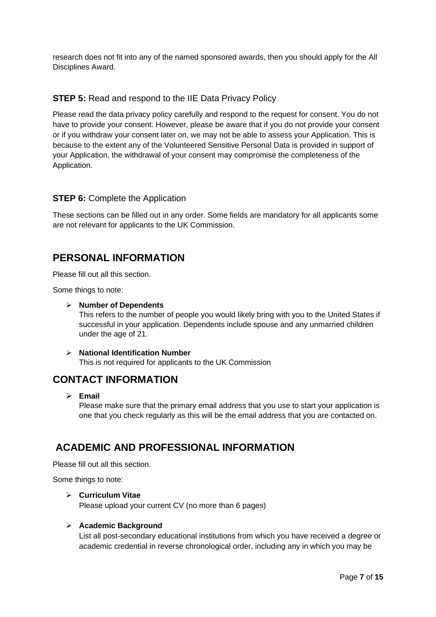research does not fit into any of the named sponsored awards, then you should apply for the All Disciplines Award.

#### **STEP 5:** Read and respond to the IIE Data Privacy Policy

Please read the data privacy policy carefully and respond to the request for consent. You do not have to provide your consent. However, please be aware that if you do not provide your consent or if you withdraw your consent later on, we may not be able to assess your Application. This is because to the extent any of the Volunteered Sensitive Personal Data is provided in support of your Application, the withdrawal of your consent may compromise the completeness of the Application.

#### **STEP 6: Complete the Application**

These sections can be filled out in any order. Some fields are mandatory for all applicants some are not relevant for applicants to the UK Commission.

### **PERSONAL INFORMATION**

Please fill out all this section.

Some things to note:

#### ➢ **Number of Dependents**

This refers to the number of people you would likely bring with you to the United States if successful in your application. Dependents include spouse and any unmarried children under the age of 21.

#### ➢ **National Identification Number**

This is not required for applicants to the UK Commission

### **CONTACT INFORMATION**

➢ **Email**

Please make sure that the primary email address that you use to start your application is one that you check regularly as this will be the email address that you are contacted on.

## **ACADEMIC AND PROFESSIONAL INFORMATION**

Please fill out all this section.

Some things to note:

#### ➢ **Curriculum Vitae**

Please upload your current CV (no more than 6 pages)

#### ➢ **Academic Background**

List all post-secondary educational institutions from which you have received a degree or academic credential in reverse chronological order, including any in which you may be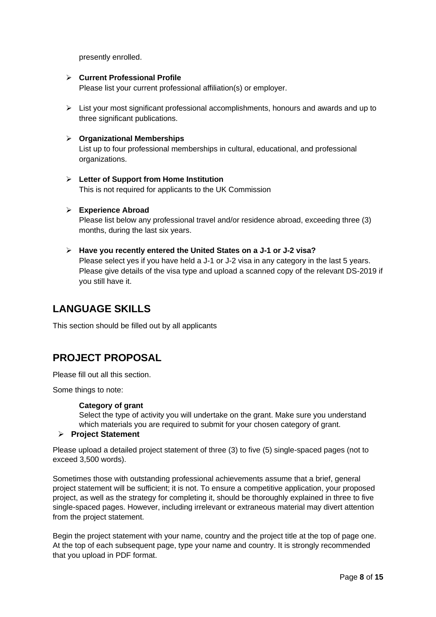presently enrolled.

#### ➢ **Current Professional Profile**

Please list your current professional affiliation(s) or employer.

➢ List your most significant professional accomplishments, honours and awards and up to three significant publications.

#### ➢ **Organizational Memberships**

List up to four professional memberships in cultural, educational, and professional organizations.

➢ **Letter of Support from Home Institution** This is not required for applicants to the UK Commission

#### ➢ **Experience Abroad**

Please list below any professional travel and/or residence abroad, exceeding three (3) months, during the last six years.

➢ **Have you recently entered the United States on a J-1 or J-2 visa?** Please select yes if you have held a J-1 or J-2 visa in any category in the last 5 years.

Please give details of the visa type and upload a scanned copy of the relevant DS-2019 if you still have it.

## **LANGUAGE SKILLS**

This section should be filled out by all applicants

## **PROJECT PROPOSAL**

Please fill out all this section.

Some things to note:

#### **Category of grant**

Select the type of activity you will undertake on the grant. Make sure you understand which materials you are required to submit for your chosen category of grant.

#### ➢ **Project Statement**

Please upload a detailed project statement of three (3) to five (5) single-spaced pages (not to exceed 3,500 words).

Sometimes those with outstanding professional achievements assume that a brief, general project statement will be sufficient; it is not. To ensure a competitive application, your proposed project, as well as the strategy for completing it, should be thoroughly explained in three to five single-spaced pages. However, including irrelevant or extraneous material may divert attention from the project statement.

Begin the project statement with your name, country and the project title at the top of page one. At the top of each subsequent page, type your name and country. It is strongly recommended that you upload in PDF format.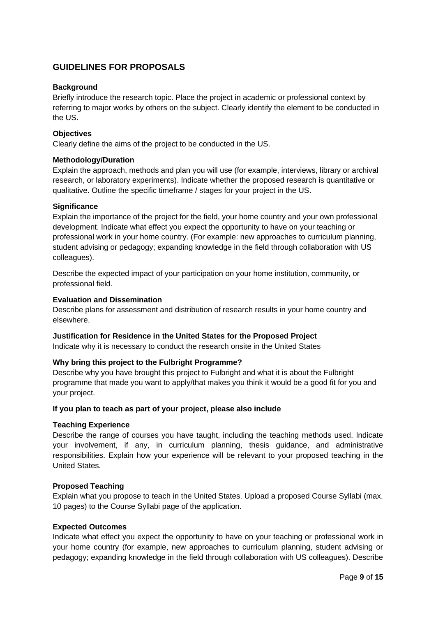#### **GUIDELINES FOR PROPOSALS**

#### **Background**

Briefly introduce the research topic. Place the project in academic or professional context by referring to major works by others on the subject. Clearly identify the element to be conducted in the US.

#### **Objectives**

Clearly define the aims of the project to be conducted in the US.

#### **Methodology/Duration**

Explain the approach, methods and plan you will use (for example, interviews, library or archival research, or laboratory experiments). Indicate whether the proposed research is quantitative or qualitative. Outline the specific timeframe / stages for your project in the US.

#### **Significance**

Explain the importance of the project for the field, your home country and your own professional development. Indicate what effect you expect the opportunity to have on your teaching or professional work in your home country. (For example: new approaches to curriculum planning, student advising or pedagogy; expanding knowledge in the field through collaboration with US colleagues).

Describe the expected impact of your participation on your home institution, community, or professional field.

#### **Evaluation and Dissemination**

Describe plans for assessment and distribution of research results in your home country and elsewhere.

#### **Justification for Residence in the United States for the Proposed Project**

Indicate why it is necessary to conduct the research onsite in the United States

#### **Why bring this project to the Fulbright Programme?**

Describe why you have brought this project to Fulbright and what it is about the Fulbright programme that made you want to apply/that makes you think it would be a good fit for you and your project.

#### **If you plan to teach as part of your project, please also include**

#### **Teaching Experience**

Describe the range of courses you have taught, including the teaching methods used. Indicate your involvement, if any, in curriculum planning, thesis guidance, and administrative responsibilities. Explain how your experience will be relevant to your proposed teaching in the United States.

#### **Proposed Teaching**

Explain what you propose to teach in the United States. Upload a proposed Course Syllabi (max. 10 pages) to the Course Syllabi page of the application.

#### **Expected Outcomes**

Indicate what effect you expect the opportunity to have on your teaching or professional work in your home country (for example, new approaches to curriculum planning, student advising or pedagogy; expanding knowledge in the field through collaboration with US colleagues). Describe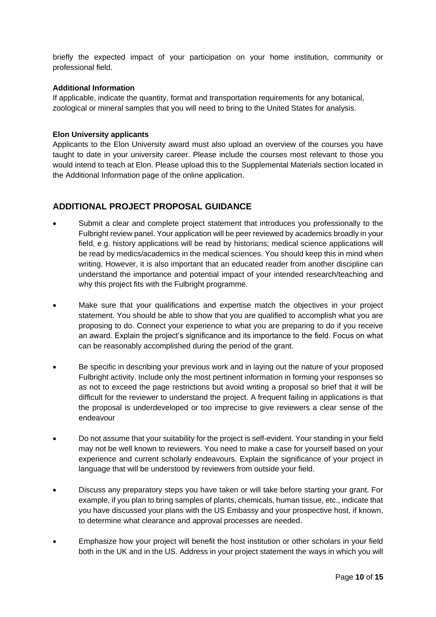briefly the expected impact of your participation on your home institution, community or professional field.

#### **Additional Information**

If applicable, indicate the quantity, format and transportation requirements for any botanical, zoological or mineral samples that you will need to bring to the United States for analysis.

#### **Elon University applicants**

Applicants to the Elon University award must also upload an overview of the courses you have taught to date in your university career. Please include the courses most relevant to those you would intend to teach at Elon. Please upload this to the Supplemental Materials section located in the Additional Information page of the online application.

#### **ADDITIONAL PROJECT PROPOSAL GUIDANCE**

- Submit a clear and complete project statement that introduces you professionally to the Fulbright review panel. Your application will be peer reviewed by academics broadly in your field, e.g. history applications will be read by historians; medical science applications will be read by medics/academics in the medical sciences. You should keep this in mind when writing. However, it is also important that an educated reader from another discipline can understand the importance and potential impact of your intended research/teaching and why this project fits with the Fulbright programme.
- Make sure that your qualifications and expertise match the objectives in your project statement. You should be able to show that you are qualified to accomplish what you are proposing to do. Connect your experience to what you are preparing to do if you receive an award. Explain the project's significance and its importance to the field. Focus on what can be reasonably accomplished during the period of the grant.
- Be specific in describing your previous work and in laying out the nature of your proposed Fulbright activity. Include only the most pertinent information in forming your responses so as not to exceed the page restrictions but avoid writing a proposal so brief that it will be difficult for the reviewer to understand the project. A frequent failing in applications is that the proposal is underdeveloped or too imprecise to give reviewers a clear sense of the endeavour
- Do not assume that your suitability for the project is self-evident. Your standing in your field may not be well known to reviewers. You need to make a case for yourself based on your experience and current scholarly endeavours. Explain the significance of your project in language that will be understood by reviewers from outside your field.
- Discuss any preparatory steps you have taken or will take before starting your grant. For example, if you plan to bring samples of plants, chemicals, human tissue, etc., indicate that you have discussed your plans with the US Embassy and your prospective host, if known, to determine what clearance and approval processes are needed.
- Emphasize how your project will benefit the host institution or other scholars in your field both in the UK and in the US. Address in your project statement the ways in which you will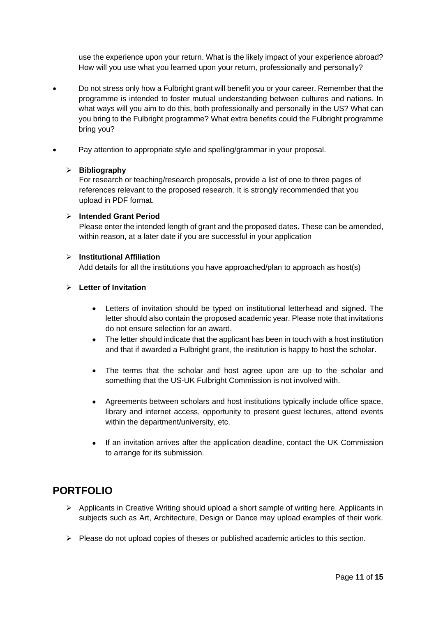use the experience upon your return. What is the likely impact of your experience abroad? How will you use what you learned upon your return, professionally and personally?

- Do not stress only how a Fulbright grant will benefit you or your career. Remember that the programme is intended to foster mutual understanding between cultures and nations. In what ways will you aim to do this, both professionally and personally in the US? What can you bring to the Fulbright programme? What extra benefits could the Fulbright programme bring you?
- Pay attention to appropriate style and spelling/grammar in your proposal.

#### ➢ **Bibliography**

For research or teaching/research proposals, provide a list of one to three pages of references relevant to the proposed research. It is strongly recommended that you upload in PDF format.

#### ➢ **Intended Grant Period**

Please enter the intended length of grant and the proposed dates. These can be amended, within reason, at a later date if you are successful in your application

#### ➢ **Institutional Affiliation**

Add details for all the institutions you have approached/plan to approach as host(s)

#### ➢ **Letter of Invitation**

- Letters of invitation should be typed on institutional letterhead and signed. The letter should also contain the proposed academic year. Please note that invitations do not ensure selection for an award.
- The letter should indicate that the applicant has been in touch with a host institution and that if awarded a Fulbright grant, the institution is happy to host the scholar.
- The terms that the scholar and host agree upon are up to the scholar and something that the US-UK Fulbright Commission is not involved with.
- Agreements between scholars and host institutions typically include office space, library and internet access, opportunity to present guest lectures, attend events within the department/university, etc.
- If an invitation arrives after the application deadline, contact the UK Commission to arrange for its submission.

### **PORTFOLIO**

- ➢ Applicants in Creative Writing should upload a short sample of writing here. Applicants in subjects such as Art, Architecture, Design or Dance may upload examples of their work.
- $\triangleright$  Please do not upload copies of theses or published academic articles to this section.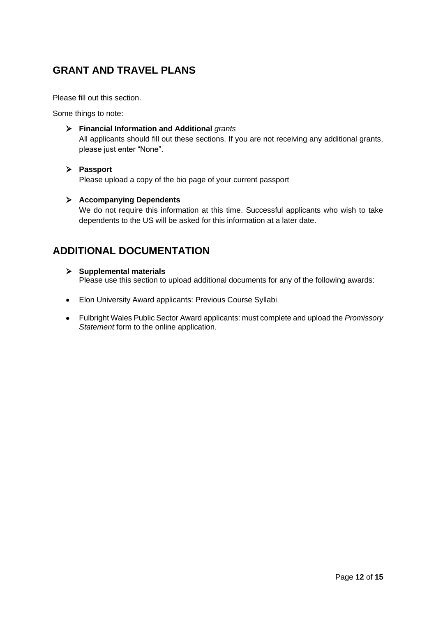## **GRANT AND TRAVEL PLANS**

Please fill out this section.

Some things to note:

#### ➢ **Financial Information and Additional** *grants*

All applicants should fill out these sections. If you are not receiving any additional grants, please just enter "None".

#### ➢ **Passport**

Please upload a copy of the bio page of your current passport

#### ➢ **Accompanying Dependents**

We do not require this information at this time. Successful applicants who wish to take dependents to the US will be asked for this information at a later date.

## **ADDITIONAL DOCUMENTATION**

#### ➢ **Supplemental materials** Please use this section to upload additional documents for any of the following awards:

- Elon University Award applicants: Previous Course Syllabi
- Fulbright Wales Public Sector Award applicants: must complete and upload the *Promissory Statement* form to the online application.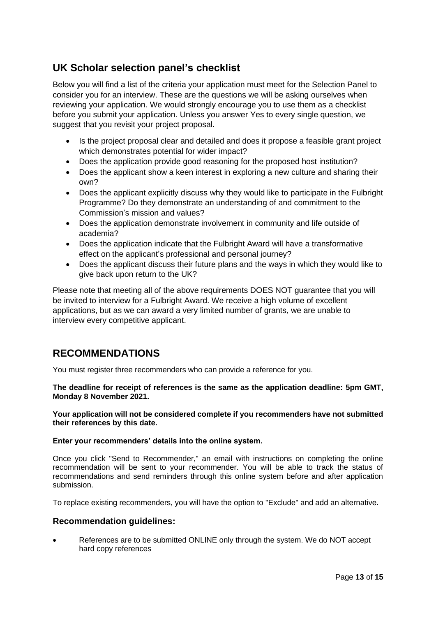## **UK Scholar selection panel's checklist**

Below you will find a list of the criteria your application must meet for the Selection Panel to consider you for an interview. These are the questions we will be asking ourselves when reviewing your application. We would strongly encourage you to use them as a checklist before you submit your application. Unless you answer Yes to every single question, we suggest that you revisit your project proposal.

- Is the project proposal clear and detailed and does it propose a feasible grant project which demonstrates potential for wider impact?
- Does the application provide good reasoning for the proposed host institution?
- Does the applicant show a keen interest in exploring a new culture and sharing their own?
- Does the applicant explicitly discuss why they would like to participate in the Fulbright Programme? Do they demonstrate an understanding of and commitment to the Commission's mission and values?
- Does the application demonstrate involvement in community and life outside of academia?
- Does the application indicate that the Fulbright Award will have a transformative effect on the applicant's professional and personal journey?
- Does the applicant discuss their future plans and the ways in which they would like to give back upon return to the UK?

Please note that meeting all of the above requirements DOES NOT guarantee that you will be invited to interview for a Fulbright Award. We receive a high volume of excellent applications, but as we can award a very limited number of grants, we are unable to interview every competitive applicant.

## **RECOMMENDATIONS**

You must register three recommenders who can provide a reference for you.

**The deadline for receipt of references is the same as the application deadline: 5pm GMT, Monday 8 November 2021.** 

**Your application will not be considered complete if you recommenders have not submitted their references by this date.**

#### **Enter your recommenders' details into the online system.**

Once you click "Send to Recommender," an email with instructions on completing the online recommendation will be sent to your recommender. You will be able to track the status of recommendations and send reminders through this online system before and after application submission.

To replace existing recommenders, you will have the option to "Exclude" and add an alternative.

#### **Recommendation guidelines:**

• References are to be submitted ONLINE only through the system. We do NOT accept hard copy references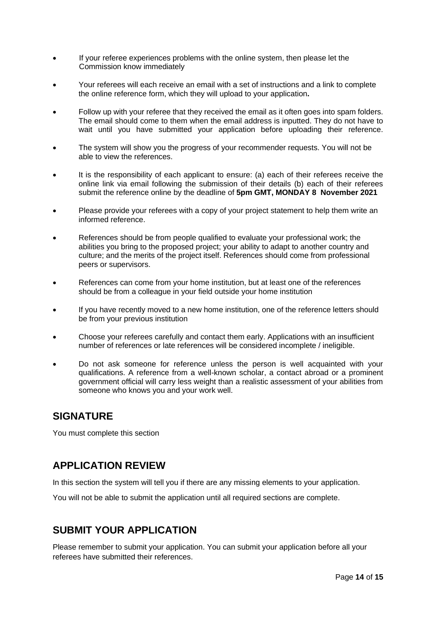- If your referee experiences problems with the online system, then please let the Commission know immediately
- Your referees will each receive an email with a set of instructions and a link to complete the online reference form, which they will upload to your application**.**
- Follow up with your referee that they received the email as it often goes into spam folders. The email should come to them when the email address is inputted. They do not have to wait until you have submitted your application before uploading their reference.
- The system will show you the progress of your recommender requests. You will not be able to view the references.
- It is the responsibility of each applicant to ensure: (a) each of their referees receive the online link via email following the submission of their details (b) each of their referees submit the reference online by the deadline of **5pm GMT, MONDAY 8 November 2021**
- Please provide your referees with a copy of your project statement to help them write an informed reference.
- References should be from people qualified to evaluate your professional work; the abilities you bring to the proposed project; your ability to adapt to another country and culture; and the merits of the project itself. References should come from professional peers or supervisors.
- References can come from your home institution, but at least one of the references should be from a colleague in your field outside your home institution
- If you have recently moved to a new home institution, one of the reference letters should be from your previous institution
- Choose your referees carefully and contact them early. Applications with an insufficient number of references or late references will be considered incomplete / ineligible.
- Do not ask someone for reference unless the person is well acquainted with your qualifications. A reference from a well-known scholar, a contact abroad or a prominent government official will carry less weight than a realistic assessment of your abilities from someone who knows you and your work well.

### **SIGNATURE**

You must complete this section

## **APPLICATION REVIEW**

In this section the system will tell you if there are any missing elements to your application.

You will not be able to submit the application until all required sections are complete.

## **SUBMIT YOUR APPLICATION**

Please remember to submit your application. You can submit your application before all your referees have submitted their references.